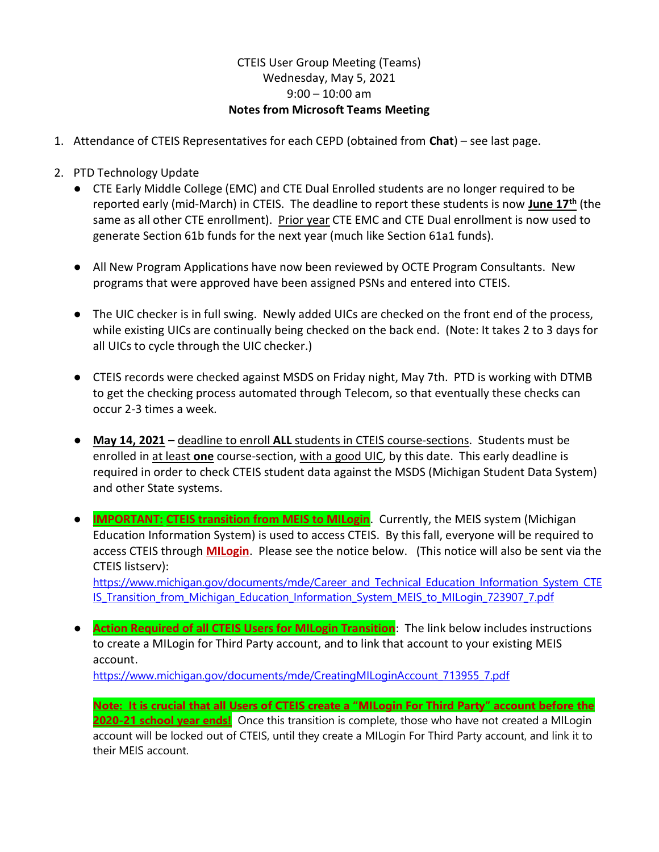## CTEIS User Group Meeting (Teams) Wednesday, May 5, 2021  $9:00 - 10:00$  am Notes from Microsoft Teams Meeting

- 1. Attendance of CTEIS Representatives for each CEPD (obtained from Chat) see last page.
- 2. PTD Technology Update
	- CTE Early Middle College (EMC) and CTE Dual Enrolled students are no longer required to be reported early (mid-March) in CTEIS. The deadline to report these students is now June 17<sup>th</sup> (the same as all other CTE enrollment). Prior year CTE EMC and CTE Dual enrollment is now used to generate Section 61b funds for the next year (much like Section 61a1 funds).
	- All New Program Applications have now been reviewed by OCTE Program Consultants. New programs that were approved have been assigned PSNs and entered into CTEIS.
	- The UIC checker is in full swing. Newly added UICs are checked on the front end of the process, while existing UICs are continually being checked on the back end. (Note: It takes 2 to 3 days for all UICs to cycle through the UIC checker.)
	- CTEIS records were checked against MSDS on Friday night, May 7th. PTD is working with DTMB to get the checking process automated through Telecom, so that eventually these checks can occur 2-3 times a week.
	- May 14, 2021 deadline to enroll ALL students in CTEIS course-sections. Students must be enrolled in at least one course-section, with a good UIC, by this date. This early deadline is required in order to check CTEIS student data against the MSDS (Michigan Student Data System) and other State systems.
	- **IMPORTANT: CTEIS transition from MEIS to MILogin**. Currently, the MEIS system (Michigan Education Information System) is used to access CTEIS. By this fall, everyone will be required to access CTEIS through **MILogin**. Please see the notice below. (This notice will also be sent via the CTEIS listserv):

https://www.michigan.gov/documents/mde/Career\_and\_Technical\_Education\_Information\_System\_CTE IS Transition from Michigan Education Information System MEIS to MILogin 723907 7.pdf

● **Action Required of all CTEIS Users for MILogin Transition**: The link below includes instructions to create a MILogin for Third Party account, and to link that account to your existing MEIS account.

https://www.michigan.gov/documents/mde/CreatingMILoginAccount\_713955\_7.pdf

Note: It is crucial that all Users of CTEIS create a "MILogin For Third Party" account before the 2020-21 school year ends! Once this transition is complete, those who have not created a MILogin account will be locked out of CTEIS, until they create a MILogin For Third Party account, and link it to their MEIS account.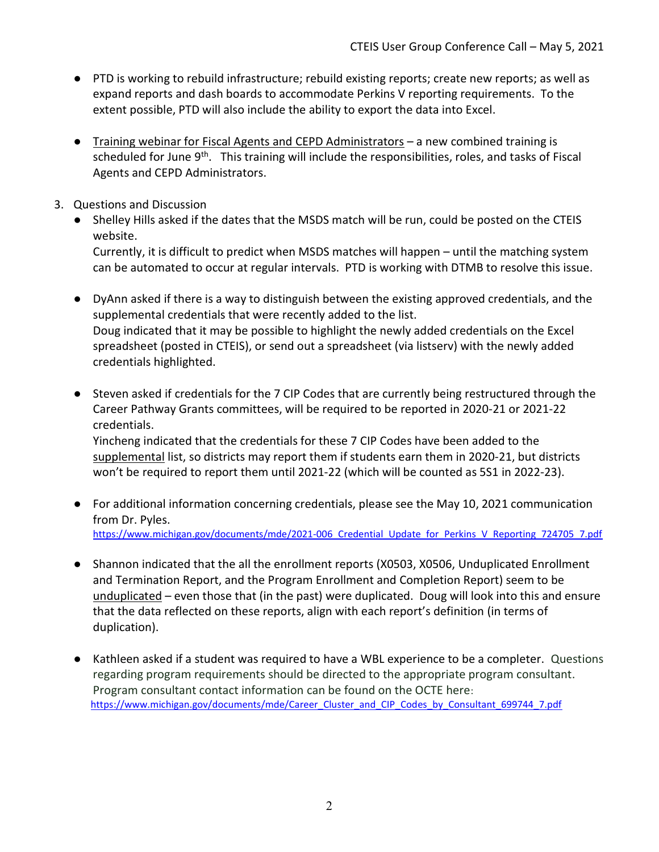- PTD is working to rebuild infrastructure; rebuild existing reports; create new reports; as well as expand reports and dash boards to accommodate Perkins V reporting requirements. To the extent possible, PTD will also include the ability to export the data into Excel.
- Training webinar for Fiscal Agents and CEPD Administrators a new combined training is scheduled for June  $9<sup>th</sup>$ . This training will include the responsibilities, roles, and tasks of Fiscal Agents and CEPD Administrators.
- 3. Questions and Discussion
	- Shelley Hills asked if the dates that the MSDS match will be run, could be posted on the CTEIS website.

 Currently, it is difficult to predict when MSDS matches will happen – until the matching system can be automated to occur at regular intervals. PTD is working with DTMB to resolve this issue.

- DyAnn asked if there is a way to distinguish between the existing approved credentials, and the supplemental credentials that were recently added to the list. Doug indicated that it may be possible to highlight the newly added credentials on the Excel spreadsheet (posted in CTEIS), or send out a spreadsheet (via listserv) with the newly added credentials highlighted.
- Steven asked if credentials for the 7 CIP Codes that are currently being restructured through the Career Pathway Grants committees, will be required to be reported in 2020-21 or 2021-22 credentials.

 Yincheng indicated that the credentials for these 7 CIP Codes have been added to the supplemental list, so districts may report them if students earn them in 2020-21, but districts won't be required to report them until 2021-22 (which will be counted as 5S1 in 2022-23).

- For additional information concerning credentials, please see the May 10, 2021 communication from Dr. Pyles. https://www.michigan.gov/documents/mde/2021-006 Credential Update for Perkins V Reporting 724705 7.pdf
- Shannon indicated that the all the enrollment reports (X0503, X0506, Unduplicated Enrollment and Termination Report, and the Program Enrollment and Completion Report) seem to be unduplicated – even those that (in the past) were duplicated. Doug will look into this and ensure that the data reflected on these reports, align with each report's definition (in terms of duplication).
- Kathleen asked if a student was required to have a WBL experience to be a completer. Questions regarding program requirements should be directed to the appropriate program consultant. Program consultant contact information can be found on the OCTE here: https://www.michigan.gov/documents/mde/Career\_Cluster\_and\_CIP\_Codes\_by\_Consultant\_699744\_7.pdf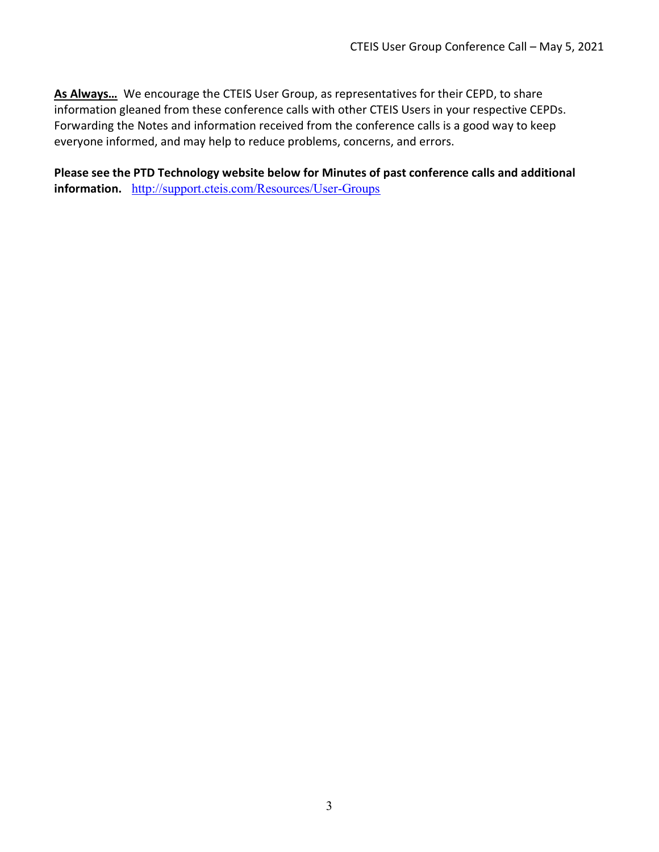As Always... We encourage the CTEIS User Group, as representatives for their CEPD, to share information gleaned from these conference calls with other CTEIS Users in your respective CEPDs. Forwarding the Notes and information received from the conference calls is a good way to keep everyone informed, and may help to reduce problems, concerns, and errors.

Please see the PTD Technology website below for Minutes of past conference calls and additional information. http://support.cteis.com/Resources/User-Groups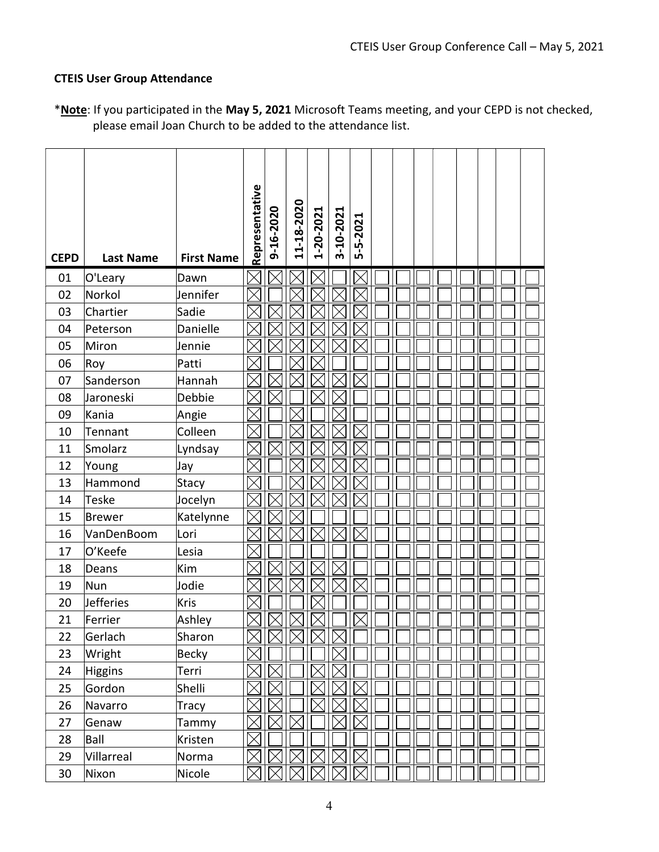## CTEIS User Group Attendance

| *Note: If you participated in the May 5, 2021 Microsoft Teams meeting, and your CEPD is not checked, |  |
|------------------------------------------------------------------------------------------------------|--|
| please email Joan Church to be added to the attendance list.                                         |  |

| <b>CEPD</b> | <b>Last Name</b> | <b>First Name</b> | Representative | 9-16-2020 | 11-18-2020  | 1-20-2021 | 3-10-2021 | 5-5-2021 |  |  |  |  |
|-------------|------------------|-------------------|----------------|-----------|-------------|-----------|-----------|----------|--|--|--|--|
| 01          | O'Leary          | Dawn              |                |           |             |           |           |          |  |  |  |  |
| 02          | Norkol           | Jennifer          |                |           |             |           |           |          |  |  |  |  |
| 03          | Chartier         | Sadie             |                |           |             |           |           |          |  |  |  |  |
| 04          | Peterson         | Danielle          |                |           |             |           |           |          |  |  |  |  |
| 05          | Miron            | Jennie            |                |           |             |           |           |          |  |  |  |  |
| 06          | Roy              | Patti             |                |           |             |           |           |          |  |  |  |  |
| 07          | Sanderson        | Hannah            |                |           |             |           |           |          |  |  |  |  |
| 08          | Jaroneski        | Debbie            |                |           |             |           |           |          |  |  |  |  |
| 09          | Kania            | Angie             |                |           |             |           |           |          |  |  |  |  |
| 10          | Tennant          | Colleen           |                |           |             |           |           |          |  |  |  |  |
| 11          | Smolarz          | Lyndsay           |                |           |             |           |           |          |  |  |  |  |
| 12          | Young            | Jay               |                |           |             |           |           |          |  |  |  |  |
| 13          | Hammond          | Stacy             |                |           |             |           |           |          |  |  |  |  |
| 14          | <b>Teske</b>     | Jocelyn           |                |           |             |           |           |          |  |  |  |  |
| 15          | Brewer           | Katelynne         |                |           |             |           |           |          |  |  |  |  |
| 16          | VanDenBoom       | Lori              |                |           |             |           |           |          |  |  |  |  |
| 17          | O'Keefe          | Lesia             |                |           |             |           |           |          |  |  |  |  |
| 18          | Deans            | Kim               |                |           |             |           |           |          |  |  |  |  |
| 19          | Nun              | Jodie             |                |           |             |           |           |          |  |  |  |  |
| 20          | <b>Jefferies</b> | Kris              |                |           |             |           |           |          |  |  |  |  |
| 21          | Ferrier          | Ashley            |                |           |             |           |           |          |  |  |  |  |
| 22          | Gerlach          | Sharon            | Х              |           | $\boxtimes$ | $\bowtie$ |           |          |  |  |  |  |
| 23          | Wright           | Becky             |                |           |             |           |           |          |  |  |  |  |
| 24          | Higgins          | Terri             |                |           |             |           |           |          |  |  |  |  |
| 25          | Gordon           | Shelli            |                |           |             |           |           |          |  |  |  |  |
| 26          | Navarro          | Tracy             |                |           |             |           |           |          |  |  |  |  |
| 27          | Genaw            | Tammy             |                |           |             |           |           |          |  |  |  |  |
| 28          | Ball             | Kristen           |                |           |             |           |           |          |  |  |  |  |
| 29          | Villarreal       | Norma             |                |           |             |           |           |          |  |  |  |  |
| 30          | Nixon            | Nicole            |                |           |             |           |           |          |  |  |  |  |